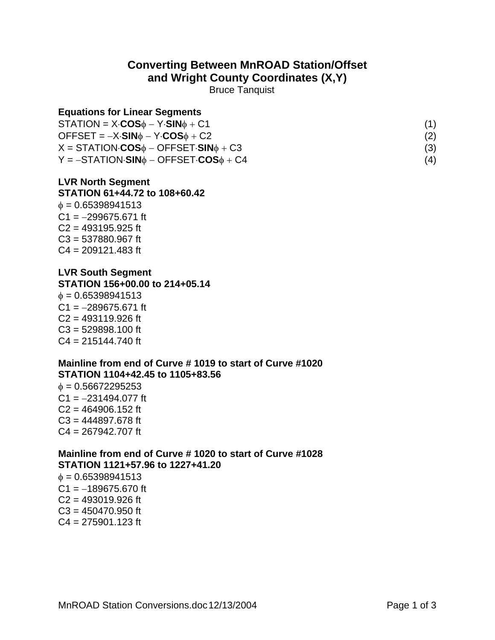# **Converting Between MnROAD Station/Offset**

**and Wright County Coordinates (X,Y)** 

Bruce Tanquist

#### **Equations for Linear Segments**

| $STATION = X \cdot COS_{\phi} - Y \cdot SIN_{\phi} + C1$<br>$OFFSET = -X \cdot SIN\phi - Y \cdot COS\phi + C2$<br>$X = \text{STATION} \cdot \text{COS} \phi - \text{OFFSET} \cdot \text{SIN} \phi + \text{C3}$<br>$Y = -STATION-SIN0 - OFFSET \cdot COS0 + C4$ |     |
|----------------------------------------------------------------------------------------------------------------------------------------------------------------------------------------------------------------------------------------------------------------|-----|
|                                                                                                                                                                                                                                                                | (2) |
|                                                                                                                                                                                                                                                                | (3) |
|                                                                                                                                                                                                                                                                | (4) |

## **LVR North Segment**

#### **STATION 61+44.72 to 108+60.42**

 $\phi = 0.65398941513$ C1 =  $-299675.671$  ft  $C2 = 493195.925$  ft C3 = 537880.967 ft C4 = 209121.483 ft

## **LVR South Segment**

**STATION 156+00.00 to 214+05.14**

 $\phi = 0.65398941513$  $C1 = -289675.671$  ft  $C2 = 493119.926$  ft C3 = 529898.100 ft  $C4 = 215144.740$  ft

#### **Mainline from end of Curve # 1019 to start of Curve #1020 STATION 1104+42.45 to 1105+83.56**

φ = 0.56672295253 C1 =  $-231494.077$  ft  $C2 = 464906.152$  ft  $C3 = 444897.678$  ft C4 = 267942.707 ft

## **Mainline from end of Curve # 1020 to start of Curve #1028 STATION 1121+57.96 to 1227+41.20**

 $\phi = 0.65398941513$  $C1 = -189675.670$  ft  $C2 = 493019.926$  ft  $C3 = 450470.950$  ft  $C4 = 275901.123$  ft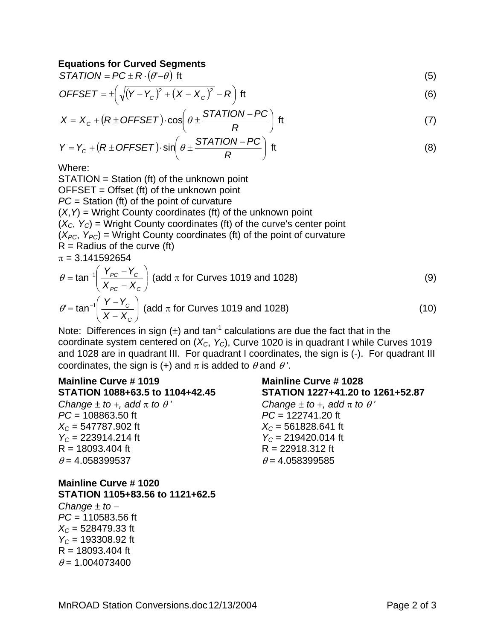#### **Equations for Curved Segments**

$$
STATION = PC \pm R \cdot (\theta - \theta) \text{ ft} \tag{5}
$$

$$
OFFSET = \pm \left( \sqrt{(Y - Y_c)^2 + (X - X_c)^2} - R \right) \text{ ft}
$$
 (6)

$$
X = X_c + (R \pm OFFSET) \cdot \cos\left(\theta \pm \frac{STATION - PC}{R}\right) \text{ ft}
$$
 (7)

$$
Y = Y_c + (R \pm OFFSET) \cdot \sin\left(\theta \pm \frac{STATION - PC}{R}\right) \text{ ft}
$$
 (8)

Where:

STATION = Station (ft) of the unknown point  $OFFSET = Offset (ft)$  of the unknown point *PC* = Station (ft) of the point of curvature (*X*,*Y*) = Wright County coordinates (ft) of the unknown point  $(X_C, Y_C)$  = Wright County coordinates (ft) of the curve's center point  $(X_{PC}, Y_{PC})$  = Wright County coordinates (ft) of the point of curvature  $R =$  Radius of the curve (ft)  $\pi = 3.141592654$  $\begin{matrix} \end{matrix}$  $\int$  $=$  tan<sup>-1</sup> $\left( \frac{Y_{PC} - Y_{C}}{Y_{C} - Y_{C}} \right)$  $\theta = \tan^{-1} \left( \frac{Y_{PC} - Y_C}{Y_{C}} \right)$  (add π for Curves 1019 and 1028) (9)

$$
\left(X_{PC} - X_C\right)
$$
\n
$$
\theta' = \tan^{-1}\left(\frac{Y - Y_C}{X - X_C}\right)
$$
\n(add  $\pi$  for Curves 1019 and 1028) (10)

Note: Differences in sign  $(\pm)$  and tan<sup>-1</sup> calculations are due the fact that in the coordinate system centered on  $(X_C, Y_C)$ , Curve 1020 is in quadrant I while Curves 1019 and 1028 are in quadrant III. For quadrant I coordinates, the sign is (-). For quadrant III coordinates, the sign is (+) and  $\pi$  is added to  $\theta$  and  $\theta'$ .

#### **Mainline Curve # 1019 STATION 1088+63.5 to 1104+42.45**   $\sim$  $dA \pi + \sim \theta$ <sup>'</sup>

| Change $\pm$ to $+$ , add $\pi$ to $\theta$ |  |
|---------------------------------------------|--|
| $PC = 108863.50$ ft                         |  |
| $X_c = 547787.902$ ft                       |  |
| $Y_c = 223914.214$ ft                       |  |
| $R = 18093.404$ ft                          |  |
| $\theta$ = 4.058399537                      |  |

#### **Mainline Curve # 1020 STATION 1105+83.56 to 1121+62.5**

*Change* ± *to* − *PC* = 110583.56 ft *XC* = 528479.33 ft *YC* = 193308.92 ft  $R = 18093.404$  ft  $\theta$  = 1.004073400

## **Mainline Curve # 1028 STATION 1227+41.20 to 1261+52.87**  *Change*  $\pm$  *to*  $+$ *, add*  $\pi$  *to*  $\theta'$

*PC* = 122741.20 ft  $X_c$  = 561828.641 ft  $Y_c = 219420.014$  ft R = 22918.312 ft  $\theta$  = 4.058399585